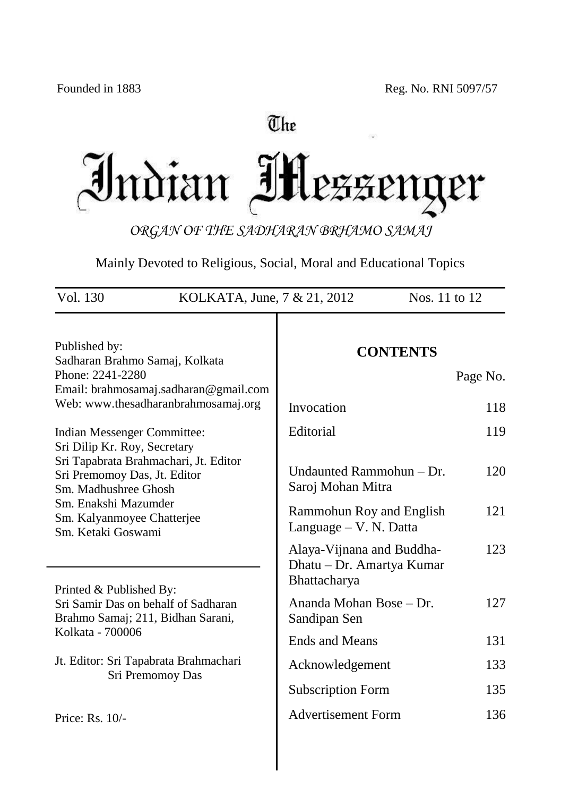# The

Indian Messeng er

*ORGAN OF THE SADHARAN BRHAMO SAMAJ*

Mainly Devoted to Religious, Social, Moral and Educational Topics

| Vol. 130<br>KOLKATA, June, 7 & 21, 2012<br>Nos. 11 to 12                                                                      |                                                                        |          |  |
|-------------------------------------------------------------------------------------------------------------------------------|------------------------------------------------------------------------|----------|--|
| Published by:<br>Sadharan Brahmo Samaj, Kolkata                                                                               | <b>CONTENTS</b>                                                        |          |  |
| Phone: 2241-2280                                                                                                              |                                                                        | Page No. |  |
| Email: brahmosamaj.sadharan@gmail.com<br>Web: www.thesadharanbrahmosamaj.org                                                  | Invocation                                                             | 118      |  |
| Indian Messenger Committee:                                                                                                   | Editorial                                                              | 119      |  |
| Sri Dilip Kr. Roy, Secretary<br>Sri Tapabrata Brahmachari, Jt. Editor<br>Sri Premomoy Das, Jt. Editor<br>Sm. Madhushree Ghosh | Undaunted Rammohun - Dr.<br>Saroj Mohan Mitra                          | 120      |  |
| Sm. Enakshi Mazumder<br>Sm. Kalyanmoyee Chatterjee<br>Sm. Ketaki Goswami                                                      | Rammohun Roy and English<br>Language – V. N. Datta                     | 121      |  |
|                                                                                                                               | Alaya-Vijnana and Buddha-<br>Dhatu – Dr. Amartya Kumar<br>Bhattacharya | 123      |  |
| Printed & Published By:<br>Sri Samir Das on behalf of Sadharan<br>Brahmo Samaj; 211, Bidhan Sarani,                           | Ananda Mohan Bose – Dr.<br>Sandipan Sen                                | 127      |  |
| Kolkata - 700006                                                                                                              | <b>Ends and Means</b>                                                  | 131      |  |
| Jt. Editor: Sri Tapabrata Brahmachari<br>Sri Premomoy Das                                                                     | Acknowledgement                                                        | 133      |  |
|                                                                                                                               | <b>Subscription Form</b>                                               | 135      |  |
| Price: Rs. 10/-                                                                                                               | <b>Advertisement Form</b>                                              | 136      |  |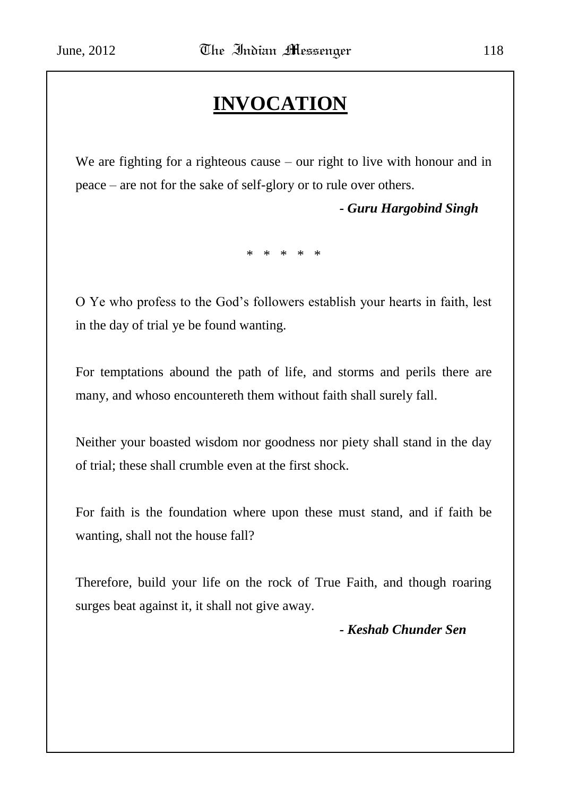# **INVOCATION**

We are fighting for a righteous cause – our right to live with honour and in peace – are not for the sake of self-glory or to rule over others.

*- Guru Hargobind Singh*

\* \* \* \* \*

O Ye who profess to the God"s followers establish your hearts in faith, lest in the day of trial ye be found wanting.

For temptations abound the path of life, and storms and perils there are many, and whoso encountereth them without faith shall surely fall.

Neither your boasted wisdom nor goodness nor piety shall stand in the day of trial; these shall crumble even at the first shock.

For faith is the foundation where upon these must stand, and if faith be wanting, shall not the house fall?

Therefore, build your life on the rock of True Faith, and though roaring surges beat against it, it shall not give away.

#### *- Keshab Chunder Sen*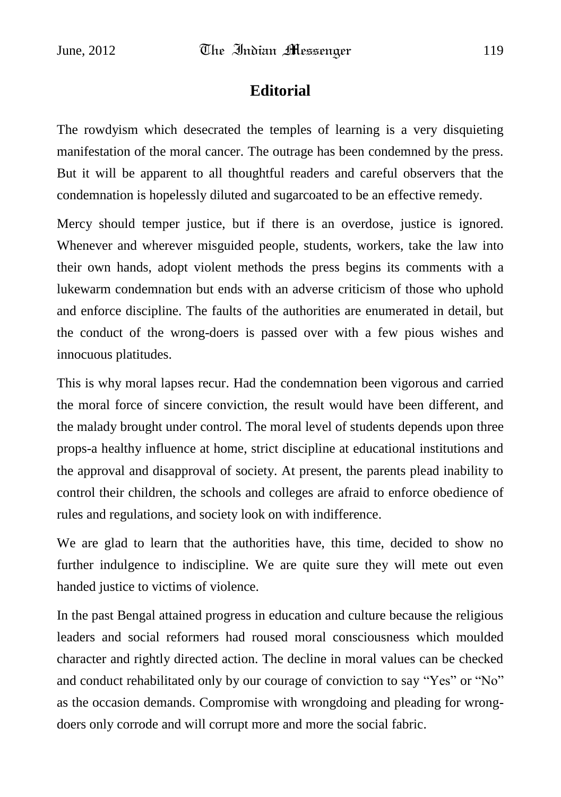## **Editorial**

The rowdyism which desecrated the temples of learning is a very disquieting manifestation of the moral cancer. The outrage has been condemned by the press. But it will be apparent to all thoughtful readers and careful observers that the condemnation is hopelessly diluted and sugarcoated to be an effective remedy.

Mercy should temper justice, but if there is an overdose, justice is ignored. Whenever and wherever misguided people, students, workers, take the law into their own hands, adopt violent methods the press begins its comments with a lukewarm condemnation but ends with an adverse criticism of those who uphold and enforce discipline. The faults of the authorities are enumerated in detail, but the conduct of the wrong-doers is passed over with a few pious wishes and innocuous platitudes.

This is why moral lapses recur. Had the condemnation been vigorous and carried the moral force of sincere conviction, the result would have been different, and the malady brought under control. The moral level of students depends upon three props-a healthy influence at home, strict discipline at educational institutions and the approval and disapproval of society. At present, the parents plead inability to control their children, the schools and colleges are afraid to enforce obedience of rules and regulations, and society look on with indifference.

We are glad to learn that the authorities have, this time, decided to show no further indulgence to indiscipline. We are quite sure they will mete out even handed justice to victims of violence.

In the past Bengal attained progress in education and culture because the religious leaders and social reformers had roused moral consciousness which moulded character and rightly directed action. The decline in moral values can be checked and conduct rehabilitated only by our courage of conviction to say "Yes" or "No" as the occasion demands. Compromise with wrongdoing and pleading for wrongdoers only corrode and will corrupt more and more the social fabric.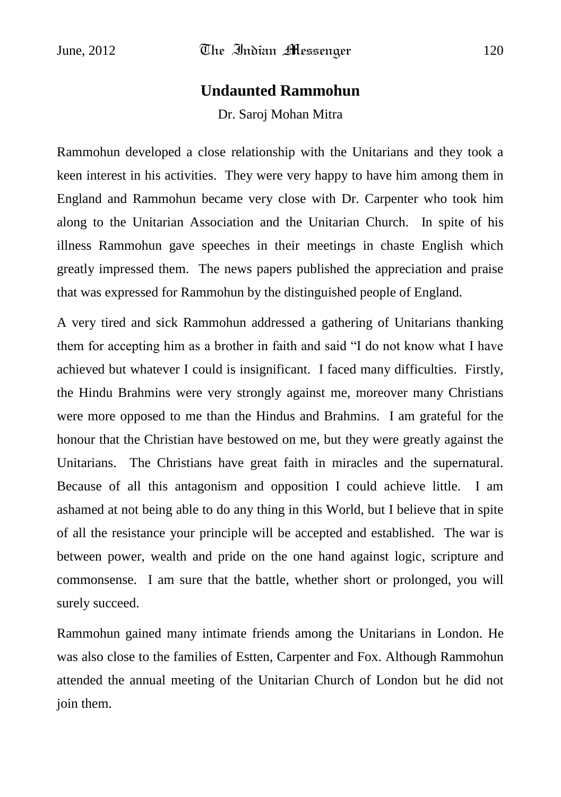#### **Undaunted Rammohun**

Dr. Saroj Mohan Mitra

Rammohun developed a close relationship with the Unitarians and they took a keen interest in his activities. They were very happy to have him among them in England and Rammohun became very close with Dr. Carpenter who took him along to the Unitarian Association and the Unitarian Church. In spite of his illness Rammohun gave speeches in their meetings in chaste English which greatly impressed them. The news papers published the appreciation and praise that was expressed for Rammohun by the distinguished people of England.

A very tired and sick Rammohun addressed a gathering of Unitarians thanking them for accepting him as a brother in faith and said "I do not know what I have achieved but whatever I could is insignificant. I faced many difficulties. Firstly, the Hindu Brahmins were very strongly against me, moreover many Christians were more opposed to me than the Hindus and Brahmins. I am grateful for the honour that the Christian have bestowed on me, but they were greatly against the Unitarians. The Christians have great faith in miracles and the supernatural. Because of all this antagonism and opposition I could achieve little. I am ashamed at not being able to do any thing in this World, but I believe that in spite of all the resistance your principle will be accepted and established. The war is between power, wealth and pride on the one hand against logic, scripture and commonsense. I am sure that the battle, whether short or prolonged, you will surely succeed.

Rammohun gained many intimate friends among the Unitarians in London. He was also close to the families of Estten, Carpenter and Fox. Although Rammohun attended the annual meeting of the Unitarian Church of London but he did not join them.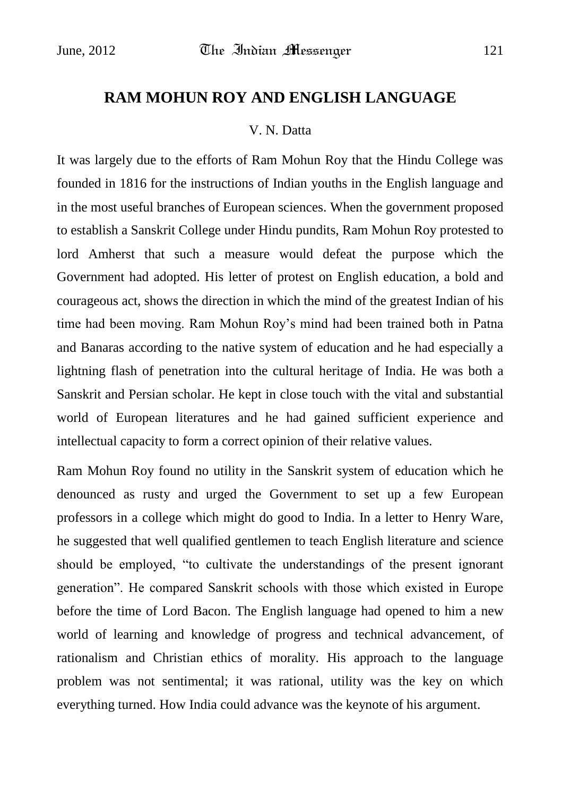# **RAM MOHUN ROY AND ENGLISH LANGUAGE**

#### V. N. Datta

It was largely due to the efforts of Ram Mohun Roy that the Hindu College was founded in 1816 for the instructions of Indian youths in the English language and in the most useful branches of European sciences. When the government proposed to establish a Sanskrit College under Hindu pundits, Ram Mohun Roy protested to lord Amherst that such a measure would defeat the purpose which the Government had adopted. His letter of protest on English education, a bold and courageous act, shows the direction in which the mind of the greatest Indian of his time had been moving. Ram Mohun Roy"s mind had been trained both in Patna and Banaras according to the native system of education and he had especially a lightning flash of penetration into the cultural heritage of India. He was both a Sanskrit and Persian scholar. He kept in close touch with the vital and substantial world of European literatures and he had gained sufficient experience and intellectual capacity to form a correct opinion of their relative values.

Ram Mohun Roy found no utility in the Sanskrit system of education which he denounced as rusty and urged the Government to set up a few European professors in a college which might do good to India. In a letter to Henry Ware, he suggested that well qualified gentlemen to teach English literature and science should be employed, "to cultivate the understandings of the present ignorant generation". He compared Sanskrit schools with those which existed in Europe before the time of Lord Bacon. The English language had opened to him a new world of learning and knowledge of progress and technical advancement, of rationalism and Christian ethics of morality. His approach to the language problem was not sentimental; it was rational, utility was the key on which everything turned. How India could advance was the keynote of his argument.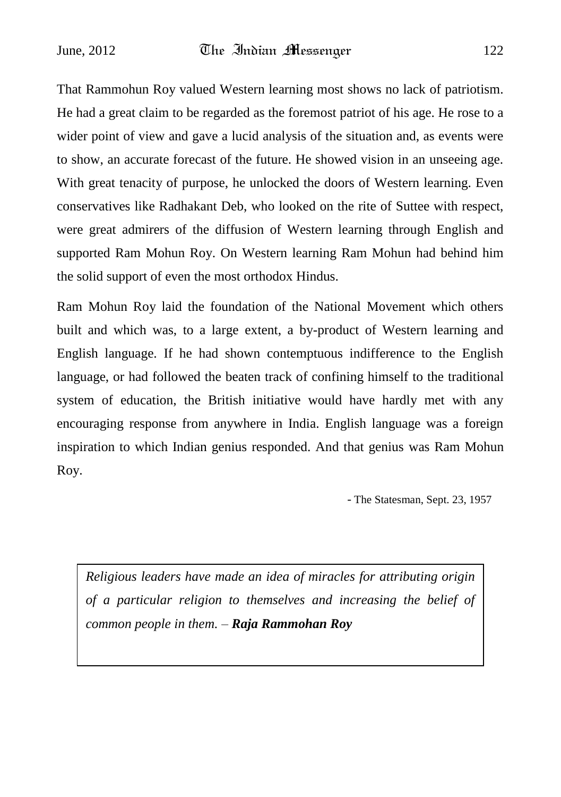That Rammohun Roy valued Western learning most shows no lack of patriotism. He had a great claim to be regarded as the foremost patriot of his age. He rose to a wider point of view and gave a lucid analysis of the situation and, as events were to show, an accurate forecast of the future. He showed vision in an unseeing age. With great tenacity of purpose, he unlocked the doors of Western learning. Even conservatives like Radhakant Deb, who looked on the rite of Suttee with respect, were great admirers of the diffusion of Western learning through English and supported Ram Mohun Roy. On Western learning Ram Mohun had behind him the solid support of even the most orthodox Hindus.

Ram Mohun Roy laid the foundation of the National Movement which others built and which was, to a large extent, a by-product of Western learning and English language. If he had shown contemptuous indifference to the English language, or had followed the beaten track of confining himself to the traditional system of education, the British initiative would have hardly met with any encouraging response from anywhere in India. English language was a foreign inspiration to which Indian genius responded. And that genius was Ram Mohun Roy.

- The Statesman, Sept. 23, 1957

*Religious leaders have made an idea of miracles for attributing origin of a particular religion to themselves and increasing the belief of common people in them. – Raja Rammohan Roy*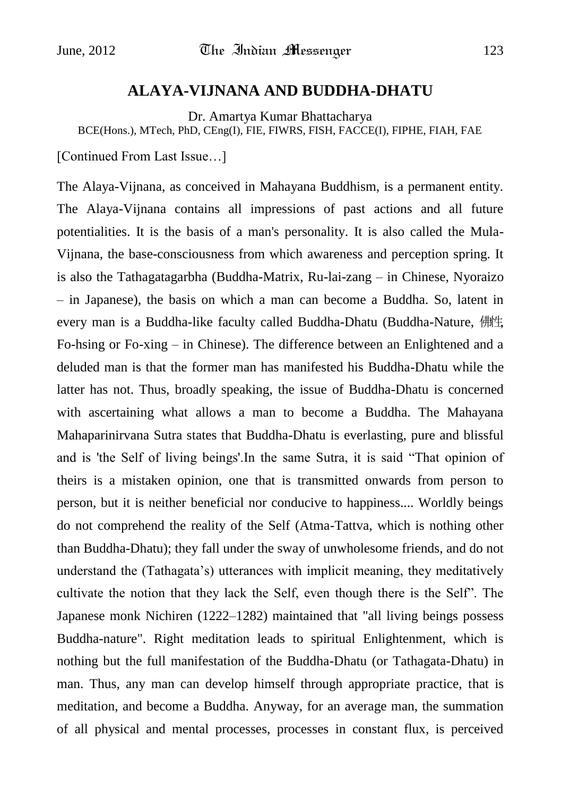#### **ALAYA-VIJNANA AND BUDDHA-DHATU**

Dr. Amartya Kumar Bhattacharya

BCE(Hons.), MTech, PhD, CEng(I), FIE, FIWRS, FISH, FACCE(I), FIPHE, FIAH, FAE

[Continued From Last Issue…]

The Alaya-Vijnana, as conceived in Mahayana Buddhism, is a permanent entity. The Alaya-Vijnana contains all impressions of past actions and all future potentialities. It is the basis of a man's personality. It is also called the Mula-Vijnana, the base-consciousness from which awareness and perception spring. It is also the Tathagatagarbha (Buddha-Matrix, Ru-lai-zang – in Chinese, Nyoraizo – in Japanese), the basis on which a man can become a Buddha. So, latent in every man is a Buddha-like faculty called Buddha-Dhatu (Buddha-Nature, 佛性, Fo-hsing or Fo-xing – in Chinese). The difference between an Enlightened and a deluded man is that the former man has manifested his Buddha-Dhatu while the latter has not. Thus, broadly speaking, the issue of Buddha-Dhatu is concerned with ascertaining what allows a man to become a Buddha. The Mahayana Mahaparinirvana Sutra states that Buddha-Dhatu is everlasting, pure and blissful and is 'the Self of living beings'.In the same Sutra, it is said "That opinion of theirs is a mistaken opinion, one that is transmitted onwards from person to person, but it is neither beneficial nor conducive to happiness.... Worldly beings do not comprehend the reality of the Self (Atma-Tattva, which is nothing other than Buddha-Dhatu); they fall under the sway of unwholesome friends, and do not understand the (Tathagata"s) utterances with implicit meaning, they meditatively cultivate the notion that they lack the Self, even though there is the Self". The Japanese monk Nichiren (1222–1282) maintained that "all living beings possess Buddha-nature". Right meditation leads to spiritual Enlightenment, which is nothing but the full manifestation of the Buddha-Dhatu (or Tathagata-Dhatu) in man. Thus, any man can develop himself through appropriate practice, that is meditation, and become a Buddha. Anyway, for an average man, the summation of all physical and mental processes, processes in constant flux, is perceived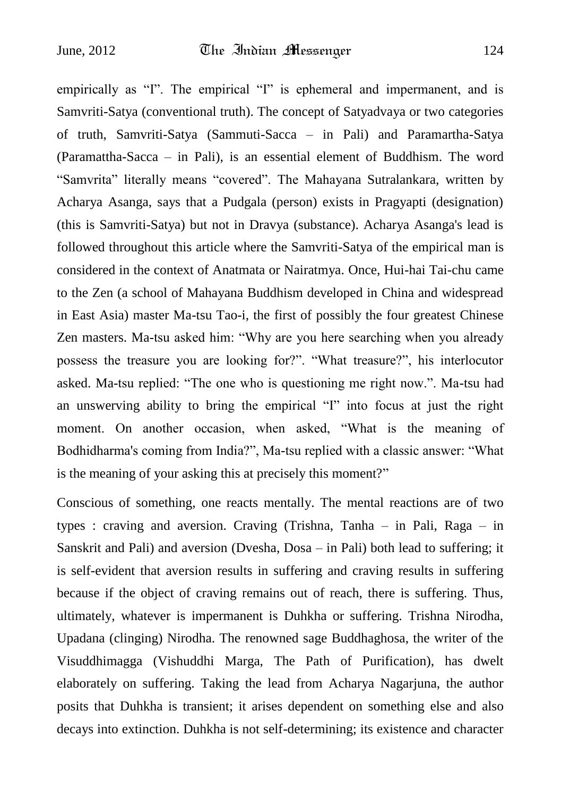empirically as "I". The empirical "I" is ephemeral and impermanent, and is Samvriti-Satya (conventional truth). The concept of Satyadvaya or two categories of truth, Samvriti-Satya (Sammuti-Sacca – in Pali) and Paramartha-Satya (Paramattha-Sacca – in Pali), is an essential element of Buddhism. The word "Samvrita" literally means "covered". The Mahayana Sutralankara, written by Acharya Asanga, says that a Pudgala (person) exists in Pragyapti (designation) (this is Samvriti-Satya) but not in Dravya (substance). Acharya Asanga's lead is followed throughout this article where the Samvriti-Satya of the empirical man is considered in the context of Anatmata or Nairatmya. Once, Hui-hai Tai-chu came to the Zen (a school of Mahayana Buddhism developed in China and widespread in East Asia) master Ma-tsu Tao-i, the first of possibly the four greatest Chinese Zen masters. Ma-tsu asked him: "Why are you here searching when you already possess the treasure you are looking for?". "What treasure?", his interlocutor asked. Ma-tsu replied: "The one who is questioning me right now.". Ma-tsu had an unswerving ability to bring the empirical "I" into focus at just the right moment. On another occasion, when asked, "What is the meaning of Bodhidharma's coming from India?", Ma-tsu replied with a classic answer: "What is the meaning of your asking this at precisely this moment?"

Conscious of something, one reacts mentally. The mental reactions are of two types : craving and aversion. Craving (Trishna, Tanha – in Pali, Raga – in Sanskrit and Pali) and aversion (Dvesha, Dosa – in Pali) both lead to suffering; it is self-evident that aversion results in suffering and craving results in suffering because if the object of craving remains out of reach, there is suffering. Thus, ultimately, whatever is impermanent is Duhkha or suffering. Trishna Nirodha, Upadana (clinging) Nirodha. The renowned sage Buddhaghosa, the writer of the Visuddhimagga (Vishuddhi Marga, The Path of Purification), has dwelt elaborately on suffering. Taking the lead from Acharya Nagarjuna, the author posits that Duhkha is transient; it arises dependent on something else and also decays into extinction. Duhkha is not self-determining; its existence and character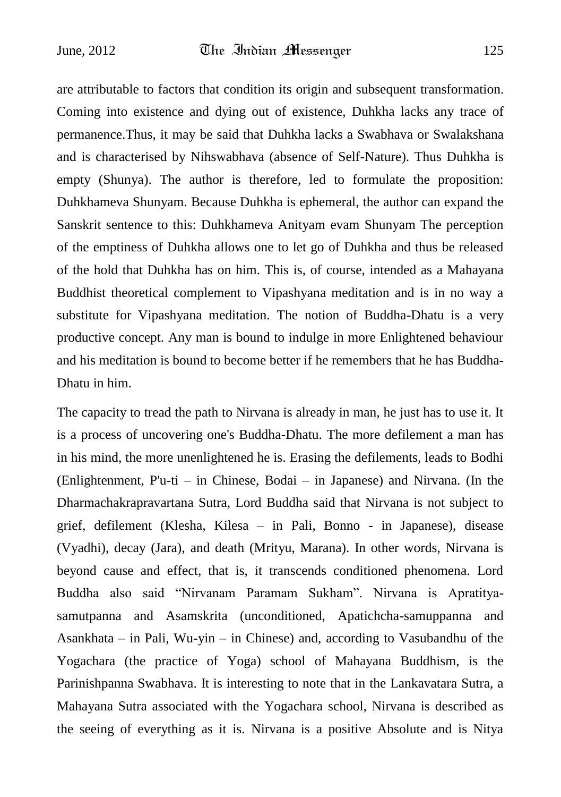are attributable to factors that condition its origin and subsequent transformation. Coming into existence and dying out of existence, Duhkha lacks any trace of permanence.Thus, it may be said that Duhkha lacks a Swabhava or Swalakshana and is characterised by Nihswabhava (absence of Self-Nature). Thus Duhkha is empty (Shunya). The author is therefore, led to formulate the proposition: Duhkhameva Shunyam. Because Duhkha is ephemeral, the author can expand the Sanskrit sentence to this: Duhkhameva Anityam evam Shunyam The perception of the emptiness of Duhkha allows one to let go of Duhkha and thus be released of the hold that Duhkha has on him. This is, of course, intended as a Mahayana Buddhist theoretical complement to Vipashyana meditation and is in no way a substitute for Vipashyana meditation. The notion of Buddha-Dhatu is a very productive concept. Any man is bound to indulge in more Enlightened behaviour and his meditation is bound to become better if he remembers that he has Buddha-Dhatu in him.

The capacity to tread the path to Nirvana is already in man, he just has to use it. It is a process of uncovering one's Buddha-Dhatu. The more defilement a man has in his mind, the more unenlightened he is. Erasing the defilements, leads to Bodhi (Enlightenment, P'u-ti – in Chinese, Bodai – in Japanese) and Nirvana. (In the Dharmachakrapravartana Sutra, Lord Buddha said that Nirvana is not subject to grief, defilement (Klesha, Kilesa – in Pali, Bonno - in Japanese), disease (Vyadhi), decay (Jara), and death (Mrityu, Marana). In other words, Nirvana is beyond cause and effect, that is, it transcends conditioned phenomena. Lord Buddha also said "Nirvanam Paramam Sukham". Nirvana is Apratityasamutpanna and Asamskrita (unconditioned, Apatichcha-samuppanna and Asankhata – in Pali, Wu-yin – in Chinese) and, according to Vasubandhu of the Yogachara (the practice of Yoga) school of Mahayana Buddhism, is the Parinishpanna Swabhava. It is interesting to note that in the Lankavatara Sutra, a Mahayana Sutra associated with the Yogachara school, Nirvana is described as the seeing of everything as it is. Nirvana is a positive Absolute and is Nitya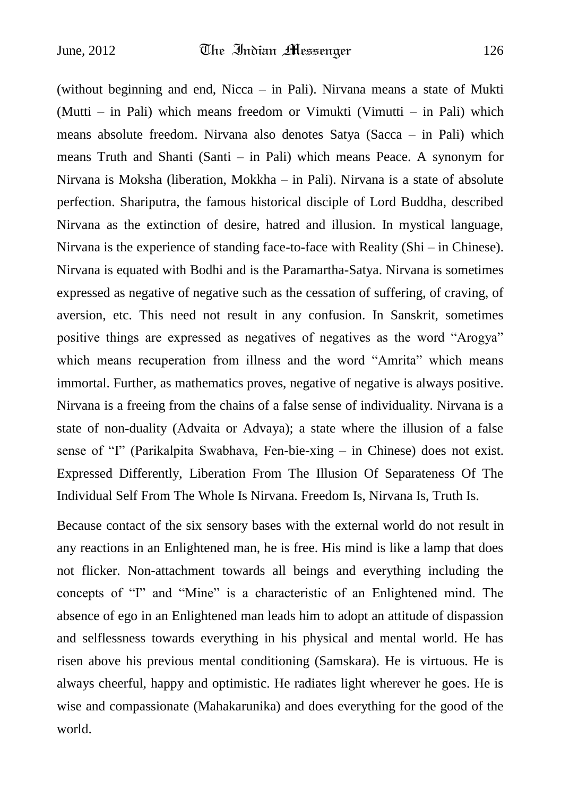(without beginning and end, Nicca – in Pali). Nirvana means a state of Mukti (Mutti – in Pali) which means freedom or Vimukti (Vimutti – in Pali) which means absolute freedom. Nirvana also denotes Satya (Sacca – in Pali) which means Truth and Shanti (Santi – in Pali) which means Peace. A synonym for Nirvana is Moksha (liberation, Mokkha – in Pali). Nirvana is a state of absolute perfection. Shariputra, the famous historical disciple of Lord Buddha, described Nirvana as the extinction of desire, hatred and illusion. In mystical language, Nirvana is the experience of standing face-to-face with Reality (Shi – in Chinese). Nirvana is equated with Bodhi and is the Paramartha-Satya. Nirvana is sometimes expressed as negative of negative such as the cessation of suffering, of craving, of aversion, etc. This need not result in any confusion. In Sanskrit, sometimes positive things are expressed as negatives of negatives as the word "Arogya" which means recuperation from illness and the word "Amrita" which means immortal. Further, as mathematics proves, negative of negative is always positive. Nirvana is a freeing from the chains of a false sense of individuality. Nirvana is a state of non-duality (Advaita or Advaya); a state where the illusion of a false sense of "I" (Parikalpita Swabhava, Fen-bie-xing – in Chinese) does not exist. Expressed Differently, Liberation From The Illusion Of Separateness Of The Individual Self From The Whole Is Nirvana. Freedom Is, Nirvana Is, Truth Is.

Because contact of the six sensory bases with the external world do not result in any reactions in an Enlightened man, he is free. His mind is like a lamp that does not flicker. Non-attachment towards all beings and everything including the concepts of "I" and "Mine" is a characteristic of an Enlightened mind. The absence of ego in an Enlightened man leads him to adopt an attitude of dispassion and selflessness towards everything in his physical and mental world. He has risen above his previous mental conditioning (Samskara). He is virtuous. He is always cheerful, happy and optimistic. He radiates light wherever he goes. He is wise and compassionate (Mahakarunika) and does everything for the good of the world.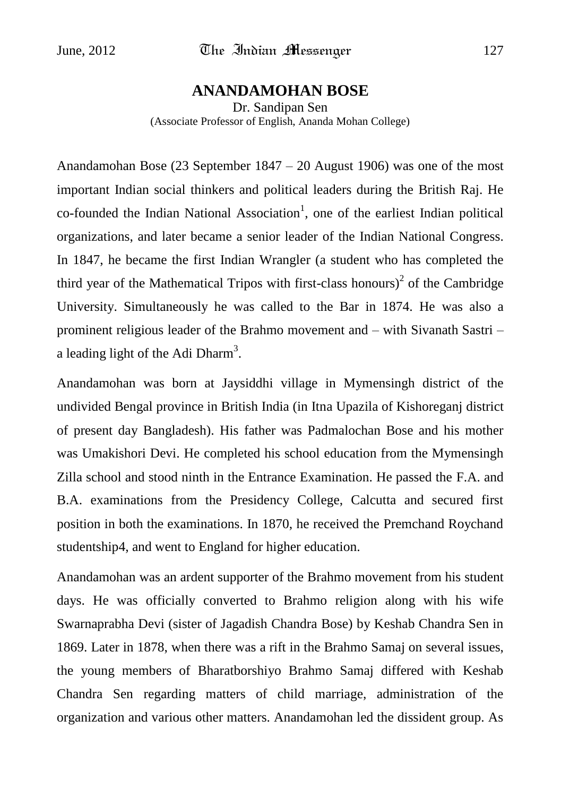#### **ANANDAMOHAN BOSE**

Dr. Sandipan Sen (Associate Professor of English, Ananda Mohan College)

Anandamohan Bose (23 September 1847 – 20 August 1906) was one of the most important Indian social thinkers and political leaders during the British Raj. He  $co$ -founded the Indian National Association<sup>1</sup>, one of the earliest Indian political organizations, and later became a senior leader of the Indian National Congress. In 1847, he became the first Indian Wrangler (a student who has completed the third year of the Mathematical Tripos with first-class honours)<sup>2</sup> of the Cambridge University. Simultaneously he was called to the Bar in 1874. He was also a prominent religious leader of the Brahmo movement and – with Sivanath Sastri – a leading light of the Adi Dharm<sup>3</sup>.

Anandamohan was born at Jaysiddhi village in Mymensingh district of the undivided Bengal province in British India (in Itna Upazila of Kishoreganj district of present day Bangladesh). His father was Padmalochan Bose and his mother was Umakishori Devi. He completed his school education from the Mymensingh Zilla school and stood ninth in the Entrance Examination. He passed the F.A. and B.A. examinations from the Presidency College, Calcutta and secured first position in both the examinations. In 1870, he received the Premchand Roychand studentship4, and went to England for higher education.

Anandamohan was an ardent supporter of the Brahmo movement from his student days. He was officially converted to Brahmo religion along with his wife Swarnaprabha Devi (sister of Jagadish Chandra Bose) by Keshab Chandra Sen in 1869. Later in 1878, when there was a rift in the Brahmo Samaj on several issues, the young members of Bharatborshiyo Brahmo Samaj differed with Keshab Chandra Sen regarding matters of child marriage, administration of the organization and various other matters. Anandamohan led the dissident group. As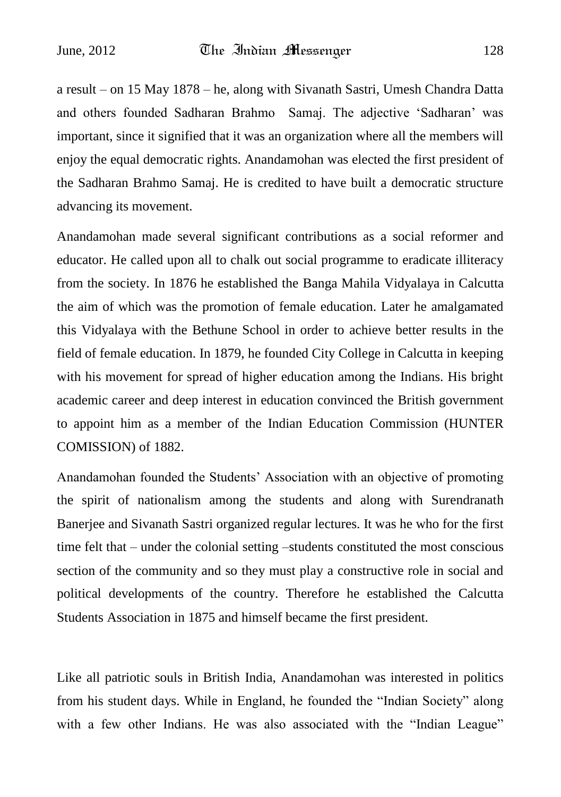a result – on 15 May 1878 – he, along with Sivanath Sastri, Umesh Chandra Datta and others founded Sadharan Brahmo Samaj. The adjective "Sadharan" was important, since it signified that it was an organization where all the members will enjoy the equal democratic rights. Anandamohan was elected the first president of the Sadharan Brahmo Samaj. He is credited to have built a democratic structure advancing its movement.

Anandamohan made several significant contributions as a social reformer and educator. He called upon all to chalk out social programme to eradicate illiteracy from the society. In 1876 he established the Banga Mahila Vidyalaya in Calcutta the aim of which was the promotion of female education. Later he amalgamated this Vidyalaya with the Bethune School in order to achieve better results in the field of female education. In 1879, he founded City College in Calcutta in keeping with his movement for spread of higher education among the Indians. His bright academic career and deep interest in education convinced the British government to appoint him as a member of the Indian Education Commission (HUNTER COMISSION) of 1882.

Anandamohan founded the Students" Association with an objective of promoting the spirit of nationalism among the students and along with Surendranath Banerjee and Sivanath Sastri organized regular lectures. It was he who for the first time felt that – under the colonial setting –students constituted the most conscious section of the community and so they must play a constructive role in social and political developments of the country. Therefore he established the Calcutta Students Association in 1875 and himself became the first president.

Like all patriotic souls in British India, Anandamohan was interested in politics from his student days. While in England, he founded the "Indian Society" along with a few other Indians. He was also associated with the "Indian League"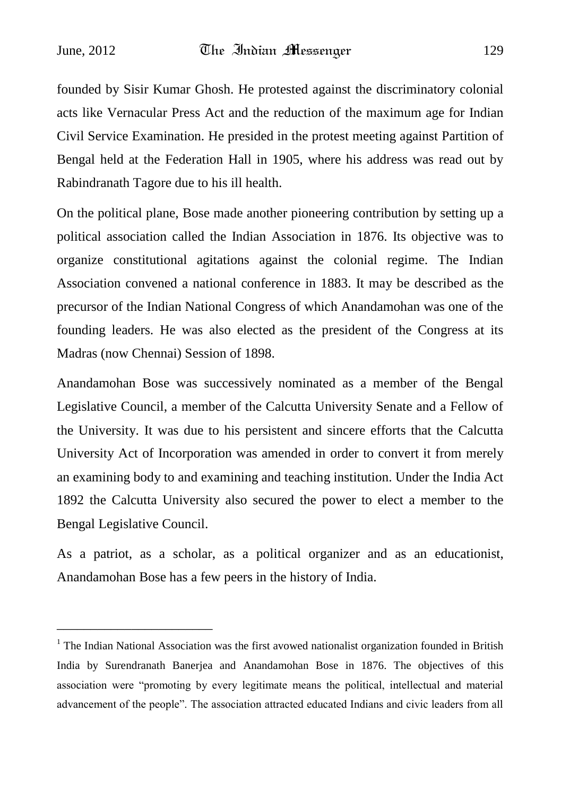founded by Sisir Kumar Ghosh. He protested against the discriminatory colonial acts like Vernacular Press Act and the reduction of the maximum age for Indian Civil Service Examination. He presided in the protest meeting against Partition of Bengal held at the Federation Hall in 1905, where his address was read out by Rabindranath Tagore due to his ill health.

On the political plane, Bose made another pioneering contribution by setting up a political association called the Indian Association in 1876. Its objective was to organize constitutional agitations against the colonial regime. The Indian Association convened a national conference in 1883. It may be described as the precursor of the Indian National Congress of which Anandamohan was one of the founding leaders. He was also elected as the president of the Congress at its Madras (now Chennai) Session of 1898.

Anandamohan Bose was successively nominated as a member of the Bengal Legislative Council, a member of the Calcutta University Senate and a Fellow of the University. It was due to his persistent and sincere efforts that the Calcutta University Act of Incorporation was amended in order to convert it from merely an examining body to and examining and teaching institution. Under the India Act 1892 the Calcutta University also secured the power to elect a member to the Bengal Legislative Council.

As a patriot, as a scholar, as a political organizer and as an educationist, Anandamohan Bose has a few peers in the history of India.

\_\_\_\_\_\_\_\_\_\_\_\_\_\_\_\_\_\_\_\_\_\_\_

<sup>&</sup>lt;sup>1</sup> The Indian National Association was the first avowed nationalist organization founded in British India by Surendranath Banerjea and Anandamohan Bose in 1876. The objectives of this association were "promoting by every legitimate means the political, intellectual and material advancement of the people". The association attracted educated Indians and civic leaders from all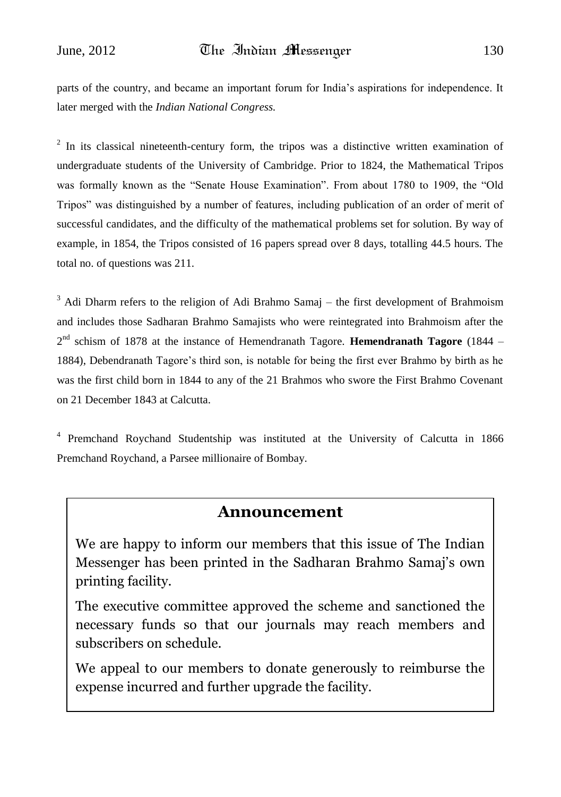parts of the country, and became an important forum for India"s aspirations for independence. It later merged with the *Indian National Congress.*

 $2$  In its classical nineteenth-century form, the tripos was a distinctive written examination of undergraduate students of the University of Cambridge. Prior to 1824, the Mathematical Tripos was formally known as the "Senate House Examination". From about 1780 to 1909, the "Old Tripos" was distinguished by a number of features, including publication of an order of merit of successful candidates, and the difficulty of the mathematical problems set for solution. By way of example, in 1854, the Tripos consisted of 16 papers spread over 8 days, totalling 44.5 hours. The total no. of questions was 211.

<sup>3</sup> Adi Dharm refers to the religion of Adi Brahmo Samaj – the first development of Brahmoism and includes those Sadharan Brahmo Samajists who were reintegrated into Brahmoism after the 2 nd schism of 1878 at the instance of Hemendranath Tagore. **Hemendranath Tagore** (1844 – 1884), Debendranath Tagore"s third son, is notable for being the first ever Brahmo by birth as he was the first child born in 1844 to any of the 21 Brahmos who swore the First Brahmo Covenant on 21 December 1843 at Calcutta.

4 Premchand Roychand Studentship was instituted at the University of Calcutta in 1866 Premchand Roychand, a Parsee millionaire of Bombay.

#### **Announcement**

We are happy to inform our members that this issue of The Indian Messenger has been printed in the Sadharan Brahmo Samaj's own printing facility.

The executive committee approved the scheme and sanctioned the necessary funds so that our journals may reach members and subscribers on schedule.

We appeal to our members to donate generously to reimburse the expense incurred and further upgrade the facility.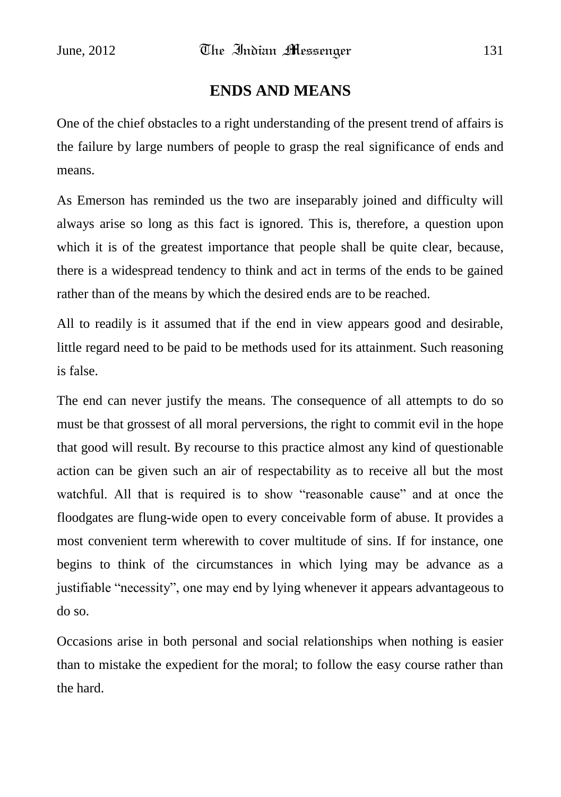# **ENDS AND MEANS**

One of the chief obstacles to a right understanding of the present trend of affairs is the failure by large numbers of people to grasp the real significance of ends and means.

As Emerson has reminded us the two are inseparably joined and difficulty will always arise so long as this fact is ignored. This is, therefore, a question upon which it is of the greatest importance that people shall be quite clear, because, there is a widespread tendency to think and act in terms of the ends to be gained rather than of the means by which the desired ends are to be reached.

All to readily is it assumed that if the end in view appears good and desirable, little regard need to be paid to be methods used for its attainment. Such reasoning is false.

The end can never justify the means. The consequence of all attempts to do so must be that grossest of all moral perversions, the right to commit evil in the hope that good will result. By recourse to this practice almost any kind of questionable action can be given such an air of respectability as to receive all but the most watchful. All that is required is to show "reasonable cause" and at once the floodgates are flung-wide open to every conceivable form of abuse. It provides a most convenient term wherewith to cover multitude of sins. If for instance, one begins to think of the circumstances in which lying may be advance as a justifiable "necessity", one may end by lying whenever it appears advantageous to do so.

Occasions arise in both personal and social relationships when nothing is easier than to mistake the expedient for the moral; to follow the easy course rather than the hard.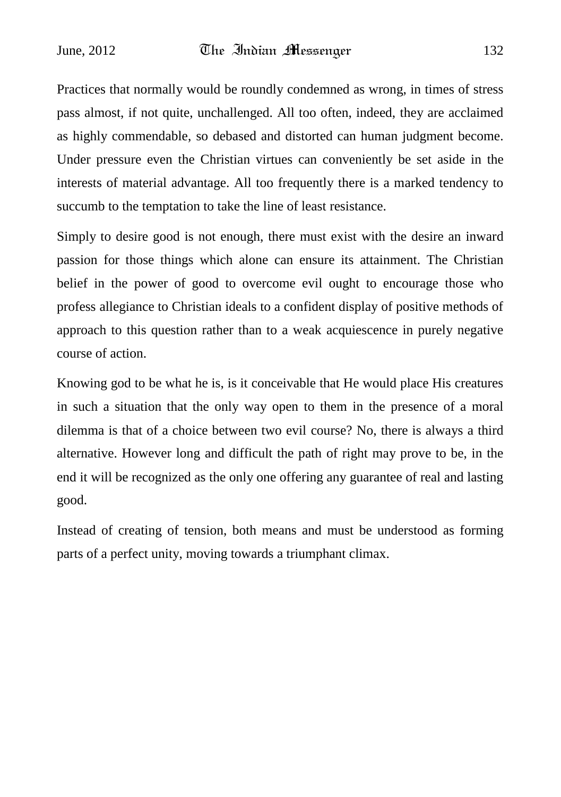Practices that normally would be roundly condemned as wrong, in times of stress pass almost, if not quite, unchallenged. All too often, indeed, they are acclaimed as highly commendable, so debased and distorted can human judgment become. Under pressure even the Christian virtues can conveniently be set aside in the interests of material advantage. All too frequently there is a marked tendency to succumb to the temptation to take the line of least resistance.

Simply to desire good is not enough, there must exist with the desire an inward passion for those things which alone can ensure its attainment. The Christian belief in the power of good to overcome evil ought to encourage those who profess allegiance to Christian ideals to a confident display of positive methods of approach to this question rather than to a weak acquiescence in purely negative course of action.

Knowing god to be what he is, is it conceivable that He would place His creatures in such a situation that the only way open to them in the presence of a moral dilemma is that of a choice between two evil course? No, there is always a third alternative. However long and difficult the path of right may prove to be, in the end it will be recognized as the only one offering any guarantee of real and lasting good.

Instead of creating of tension, both means and must be understood as forming parts of a perfect unity, moving towards a triumphant climax.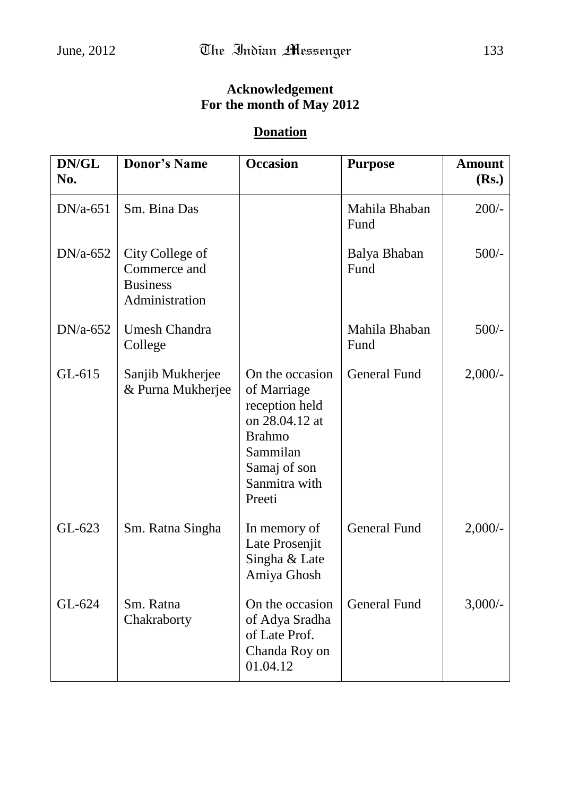## **Acknowledgement For the month of May 2012**

## **Donation**

| DN/GL<br>No. | <b>Donor's Name</b>                                                  | <b>Occasion</b>                                                                                                                            | <b>Purpose</b>        | <b>Amount</b><br>(Rs.) |
|--------------|----------------------------------------------------------------------|--------------------------------------------------------------------------------------------------------------------------------------------|-----------------------|------------------------|
| $DN/a-651$   | Sm. Bina Das                                                         |                                                                                                                                            | Mahila Bhaban<br>Fund | $200/-$                |
| $DN/a-652$   | City College of<br>Commerce and<br><b>Business</b><br>Administration |                                                                                                                                            | Balya Bhaban<br>Fund  | $500/-$                |
| $DN/a-652$   | <b>Umesh Chandra</b><br>College                                      |                                                                                                                                            | Mahila Bhaban<br>Fund | $500/-$                |
| $GL-615$     | Sanjib Mukherjee<br>& Purna Mukherjee                                | On the occasion<br>of Marriage<br>reception held<br>on 28.04.12 at<br><b>Brahmo</b><br>Sammilan<br>Samaj of son<br>Sanmitra with<br>Preeti | <b>General Fund</b>   | $2,000/$ -             |
| GL-623       | Sm. Ratna Singha                                                     | In memory of<br>Late Prosenjit<br>Singha & Late<br>Amiya Ghosh                                                                             | General Fund          | $2,000/$ -             |
| GL-624       | Sm. Ratna<br>Chakraborty                                             | On the occasion<br>of Adya Sradha<br>of Late Prof.<br>Chanda Roy on<br>01.04.12                                                            | <b>General Fund</b>   | $3,000/-$              |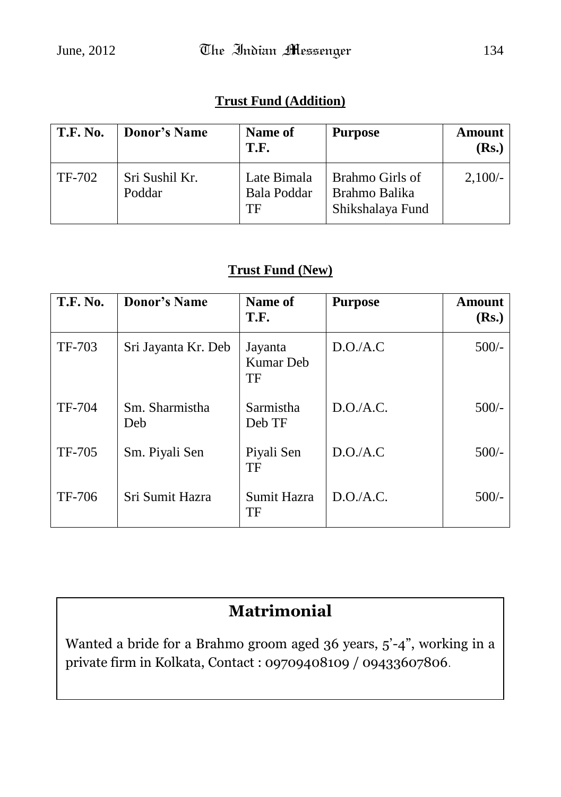#### **Trust Fund (Addition)**

| <b>T.F. No.</b> | <b>Donor's Name</b>      | Name of<br>T.F.                  | <b>Purpose</b>                                       | <b>Amount</b><br>(Rs.) |
|-----------------|--------------------------|----------------------------------|------------------------------------------------------|------------------------|
| TF-702          | Sri Sushil Kr.<br>Poddar | Late Bimala<br>Bala Poddar<br>TF | Brahmo Girls of<br>Brahmo Balika<br>Shikshalaya Fund | $2,100/-$              |

#### **Trust Fund (New)**

| <b>T.F. No.</b> | <b>Donor's Name</b>   | Name of<br>T.F.                   | <b>Purpose</b> | <b>Amount</b><br>(Rs.) |
|-----------------|-----------------------|-----------------------------------|----------------|------------------------|
| TF-703          | Sri Jayanta Kr. Deb   | Jayanta<br><b>Kumar</b> Deb<br>TF | D.O.A.C        | $500/-$                |
| TF-704          | Sm. Sharmistha<br>Deb | Sarmistha<br>Deb TF               | D.O.A.C.       | $500/-$                |
| TF-705          | Sm. Piyali Sen        | Piyali Sen<br>TF                  | D.O.A.C        | $500/-$                |
| TF-706          | Sri Sumit Hazra       | Sumit Hazra<br>TF                 | D.O.A.C.       | $500/-$                |

# **Matrimonial**

Wanted a bride for a Brahmo groom aged 36 years, 5'-4", working in a private firm in Kolkata, Contact : 09709408109 / 09433607806.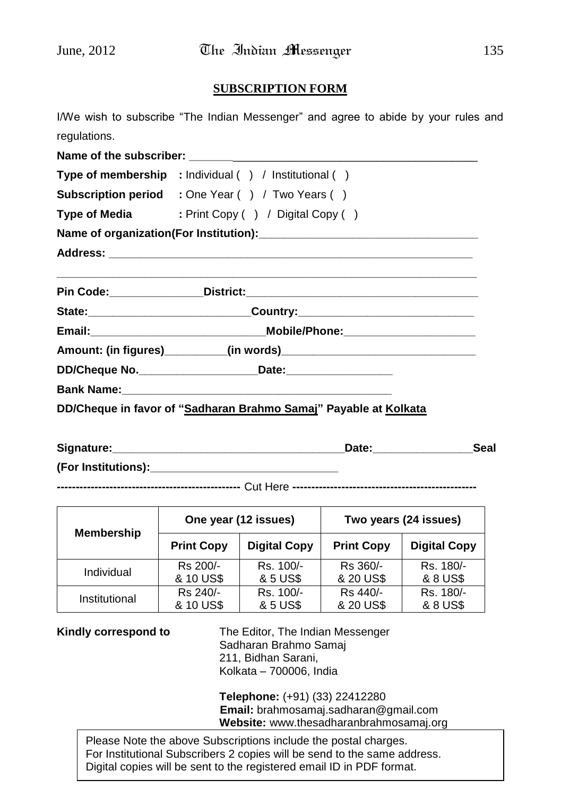#### **SUBSCRIPTION FORM**

|              | I/We wish to subscribe "The Indian Messenger" and agree to abide by your rules and |  |  |
|--------------|------------------------------------------------------------------------------------|--|--|
| regulations. |                                                                                    |  |  |
|              |                                                                                    |  |  |
|              | Type of membership : Individual () / Institutional ()                              |  |  |
|              | <b>Subscription period</b> : One Year () / Two Years ()                            |  |  |
|              | Type of Media : Print Copy () / Digital Copy ()                                    |  |  |
|              |                                                                                    |  |  |
|              |                                                                                    |  |  |
|              |                                                                                    |  |  |
|              | State:_________________________Country:_____________________________               |  |  |
|              |                                                                                    |  |  |
|              |                                                                                    |  |  |
|              | Amount: (in figures)__________(in words)___________________________________        |  |  |
|              | DD/Cheque No. __________________________Date:___________________________________   |  |  |
|              |                                                                                    |  |  |
|              | DD/Cheque in favor of "Sadharan Brahmo Samaj" Payable at Kolkata                   |  |  |

**(For Institutions):\_\_\_\_\_\_\_\_\_\_\_\_\_\_\_\_\_\_\_\_\_\_\_\_\_\_\_\_\_\_**

**-------------------------------------------------** Cut Here **-------------------------------------------------**

| <b>Membership</b> | One year (12 issues) |                     | Two years (24 issues) |                     |
|-------------------|----------------------|---------------------|-----------------------|---------------------|
|                   | <b>Print Copy</b>    | <b>Digital Copy</b> | <b>Print Copy</b>     | <b>Digital Copy</b> |
| Individual        | Rs 200/-             | Rs. 100/-           | Rs 360/-              | Rs. 180/-           |
|                   | & 10 US\$            | & 5 US\$            | & 20 US\$             | & 8 US\$            |
| Institutional     | Rs 240/-             | Rs. 100/-           | Rs 440/-              | Rs. 180/-           |
|                   | & 10 US\$            | & 5 US\$            | & 20 US\$             | & 8 US\$            |

**Kindly correspond to** The Editor, The Indian Messenger Sadharan Brahmo Samaj 211, Bidhan Sarani, Kolkata – 700006, India

> **Telephone:** (+91) (33) 22412280 **Email:** brahmosamaj.sadharan@gmail.com **Website:** www.thesadharanbrahmosamaj.org

Please Note the above Subscriptions include the postal charges. For Institutional Subscribers 2 copies will be send to the same address. Digital copies will be sent to the registered email ID in PDF format.